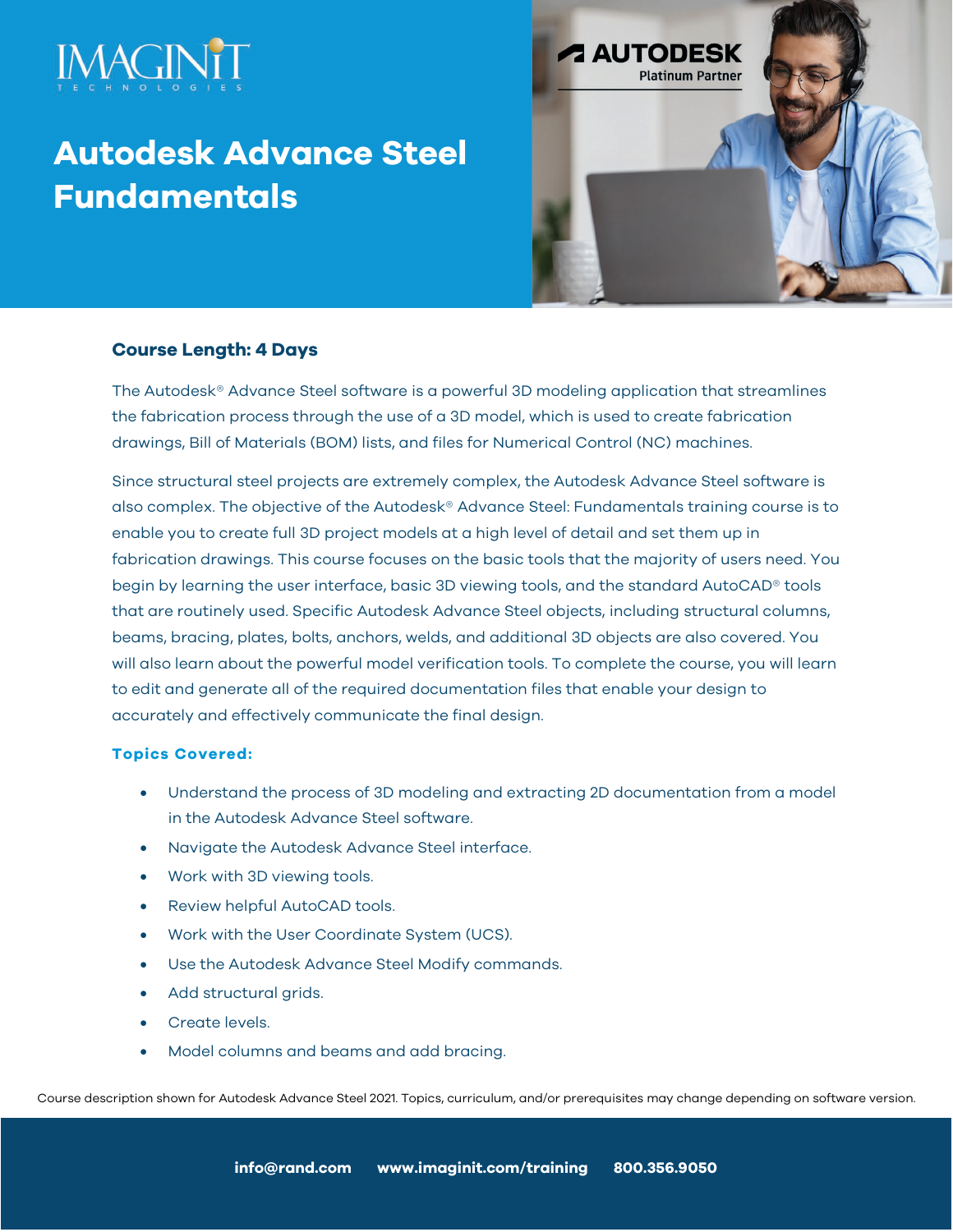

# **Autodesk Advance Steel Fundamentals**



# **Course Length: 4 Days**

The Autodesk® Advance Steel software is a powerful 3D modeling application that streamlines the fabrication process through the use of a 3D model, which is used to create fabrication drawings, Bill of Materials (BOM) lists, and files for Numerical Control (NC) machines.

Since structural steel projects are extremely complex, the Autodesk Advance Steel software is also complex. The objective of the Autodesk® Advance Steel: Fundamentals training course is to enable you to create full 3D project models at a high level of detail and set them up in fabrication drawings. This course focuses on the basic tools that the majority of users need. You begin by learning the user interface, basic 3D viewing tools, and the standard AutoCAD® tools that are routinely used. Specific Autodesk Advance Steel objects, including structural columns, beams, bracing, plates, bolts, anchors, welds, and additional 3D objects are also covered. You will also learn about the powerful model verification tools. To complete the course, you will learn to edit and generate all of the required documentation files that enable your design to accurately and effectively communicate the final design.

# **Topics Covered:**

- Understand the process of 3D modeling and extracting 2D documentation from a model in the Autodesk Advance Steel software.
- Navigate the Autodesk Advance Steel interface.
- Work with 3D viewing tools.
- Review helpful AutoCAD tools.
- Work with the User Coordinate System (UCS).
- Use the Autodesk Advance Steel Modify commands.
- Add structural grids.
- Create levels.
- Model columns and beams and add bracing.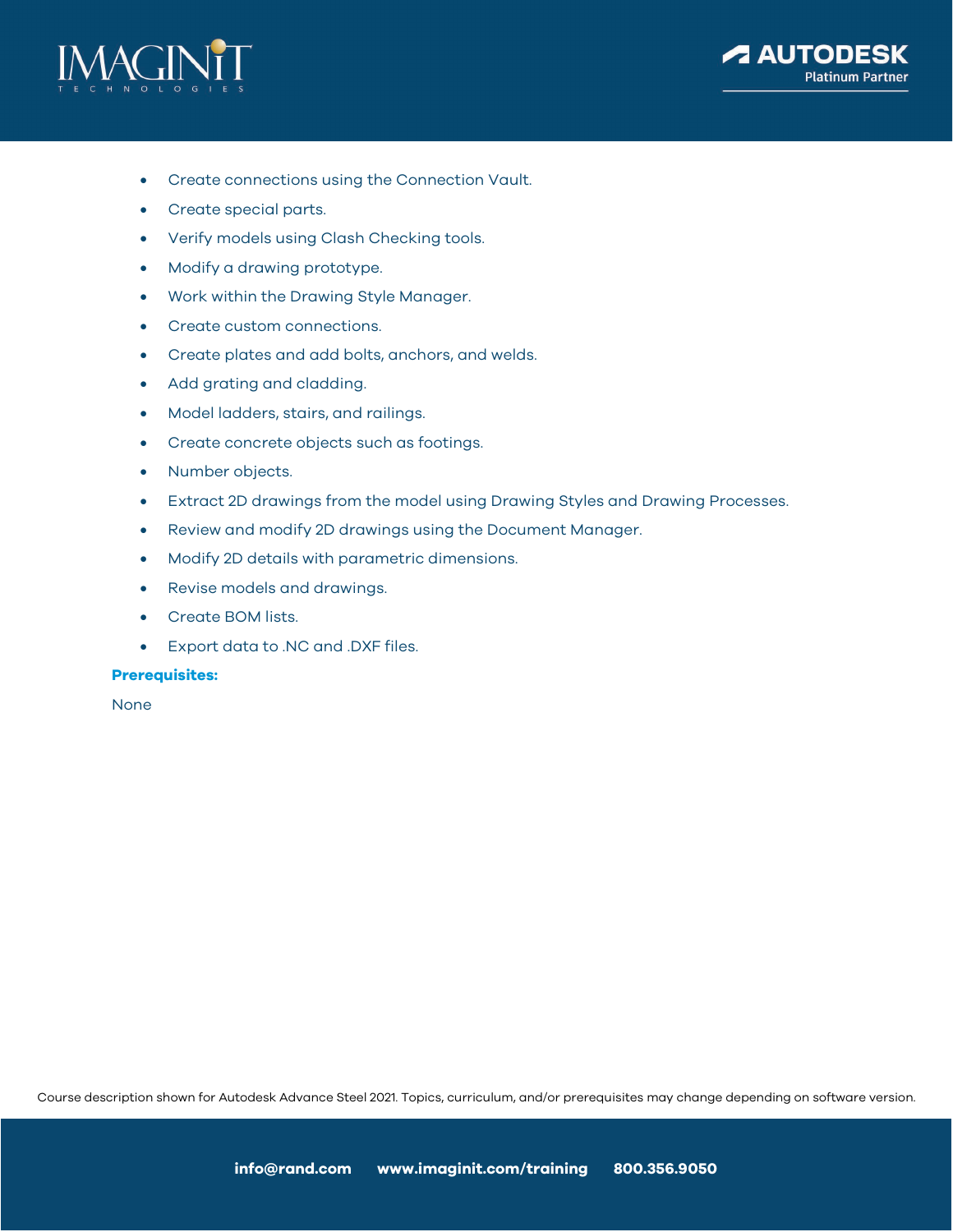



- Create connections using the Connection Vault.
- Create special parts.
- Verify models using Clash Checking tools.
- Modify a drawing prototype.
- Work within the Drawing Style Manager.
- Create custom connections.
- Create plates and add bolts, anchors, and welds.
- Add grating and cladding.
- Model ladders, stairs, and railings.
- Create concrete objects such as footings.
- Number objects.
- Extract 2D drawings from the model using Drawing Styles and Drawing Processes.
- Review and modify 2D drawings using the Document Manager.
- Modify 2D details with parametric dimensions.
- Revise models and drawings.
- Create BOM lists.
- Export data to .NC and .DXF files.

#### **Prerequisites:**

None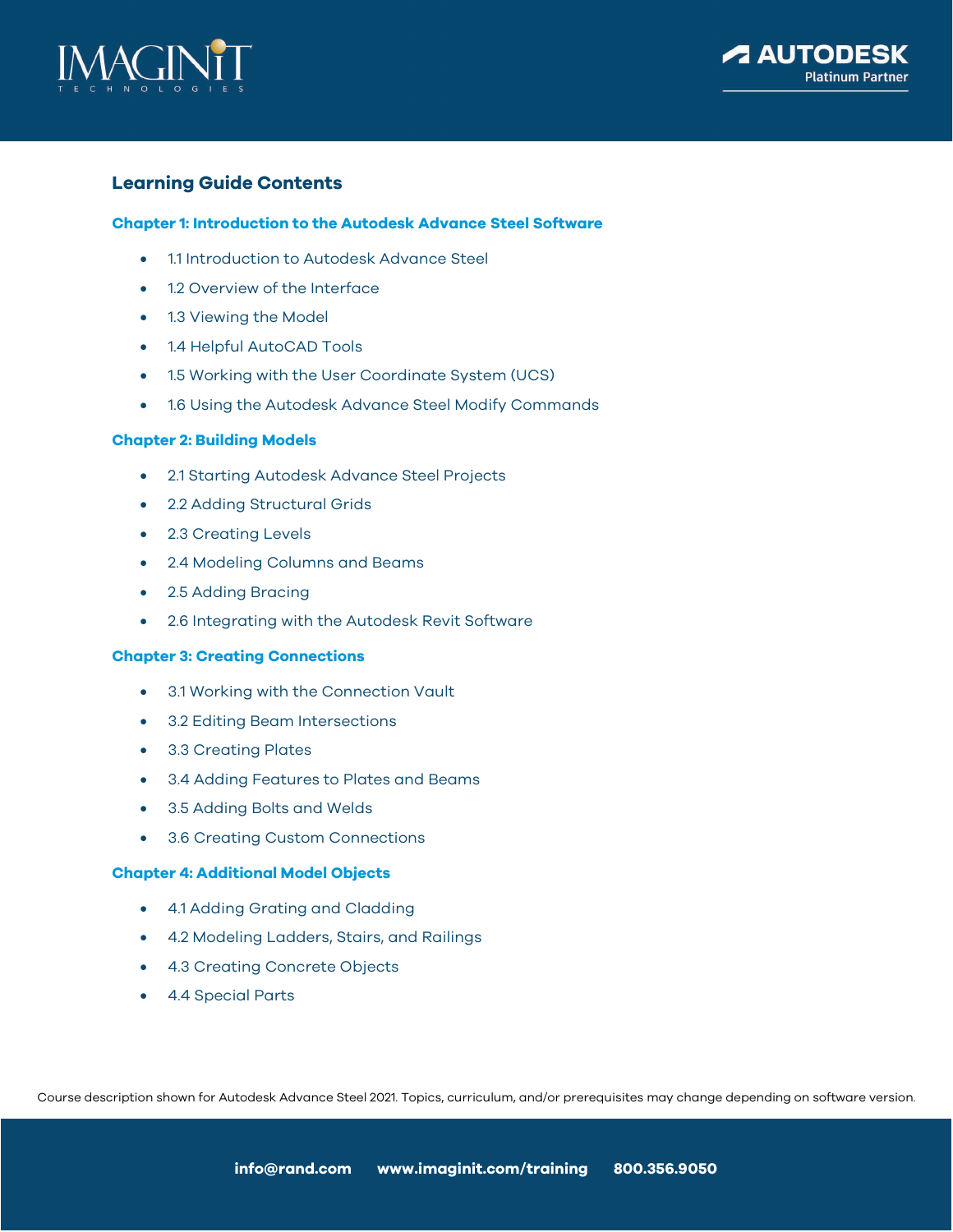



# **Learning Guide Contents**

# **Chapter 1: Introduction to the Autodesk Advance Steel Software**

- 1.1 Introduction to Autodesk Advance Steel
- 1.2 Overview of the Interface
- 1.3 Viewing the Model
- 1.4 Helpful AutoCAD Tools
- 1.5 Working with the User Coordinate System (UCS)
- 1.6 Using the Autodesk Advance Steel Modify Commands

## **Chapter 2: Building Models**

- 2.1 Starting Autodesk Advance Steel Projects
- 2.2 Adding Structural Grids
- 2.3 Creating Levels
- 2.4 Modeling Columns and Beams
- 2.5 Adding Bracing
- 2.6 Integrating with the Autodesk Revit Software

#### **Chapter 3: Creating Connections**

- 3.1 Working with the Connection Vault
- 3.2 Editing Beam Intersections
- 3.3 Creating Plates
- 3.4 Adding Features to Plates and Beams
- 3.5 Adding Bolts and Welds
- 3.6 Creating Custom Connections

## **Chapter 4: Additional Model Objects**

- 4.1 Adding Grating and Cladding
- 4.2 Modeling Ladders, Stairs, and Railings
- 4.3 Creating Concrete Objects
- 4.4 Special Parts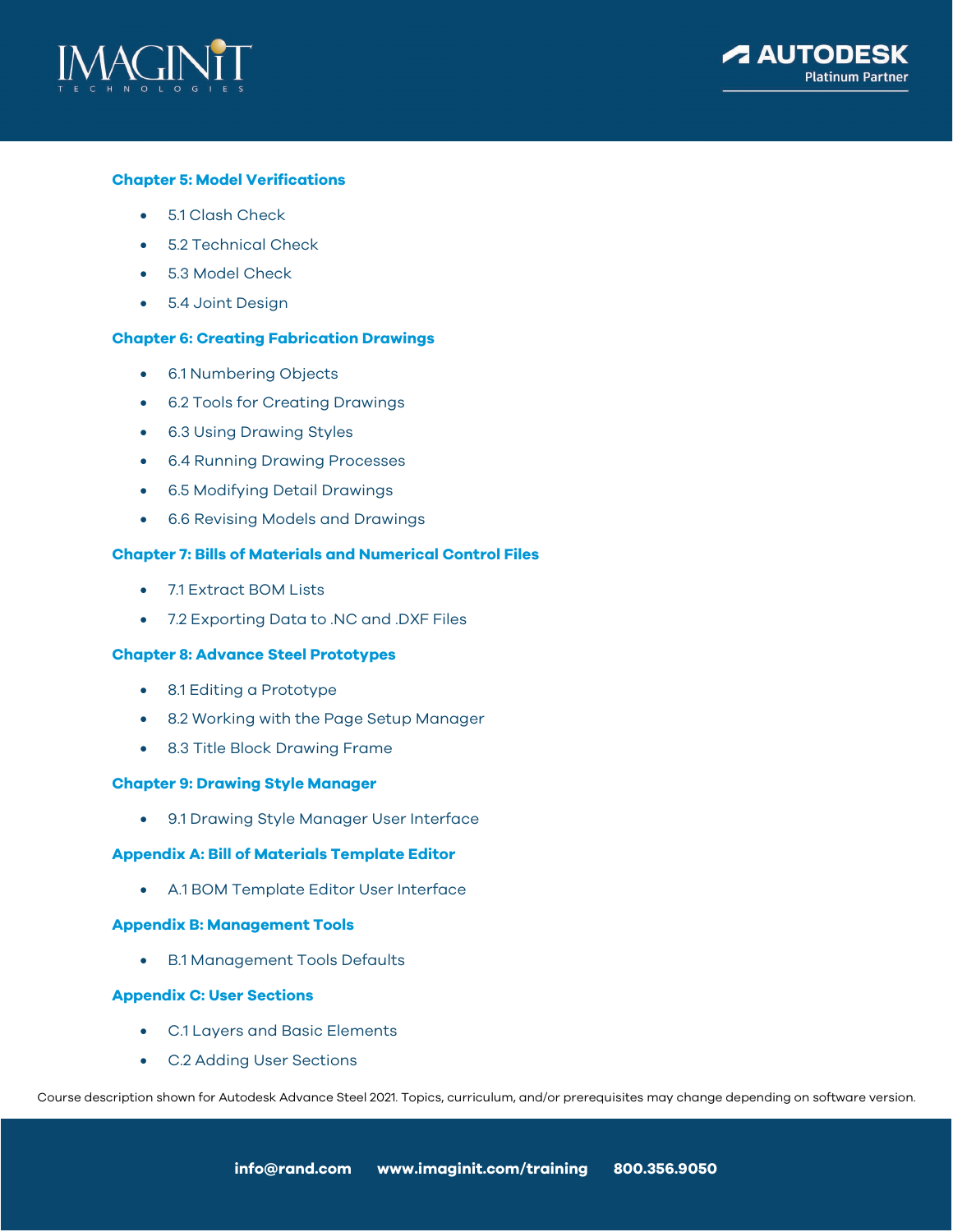



# **Chapter 5: Model Verifications**

- 5.1 Clash Check
- 5.2 Technical Check
- 5.3 Model Check
- 5.4 Joint Design

#### **Chapter 6: Creating Fabrication Drawings**

- 6.1 Numbering Objects
- 6.2 Tools for Creating Drawings
- 6.3 Using Drawing Styles
- 6.4 Running Drawing Processes
- 6.5 Modifying Detail Drawings
- 6.6 Revising Models and Drawings

#### **Chapter 7: Bills of Materials and Numerical Control Files**

- 7.1 Extract BOM Lists
- 7.2 Exporting Data to .NC and .DXF Files

#### **Chapter 8: Advance Steel Prototypes**

- 8.1 Editing a Prototype
- 8.2 Working with the Page Setup Manager
- 8.3 Title Block Drawing Frame

# **Chapter 9: Drawing Style Manager**

• 9.1 Drawing Style Manager User Interface

## **Appendix A: Bill of Materials Template Editor**

• A.1 BOM Template Editor User Interface

# **Appendix B: Management Tools**

• B.1 Management Tools Defaults

#### **Appendix C: User Sections**

- C.1 Layers and Basic Elements
- C.2 Adding User Sections